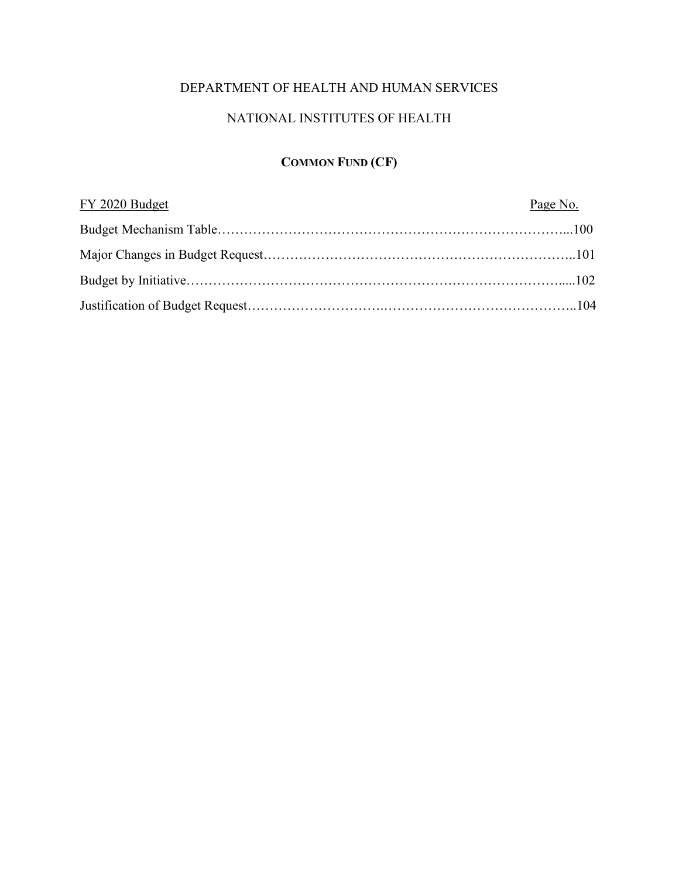## DEPARTMENT OF HEALTH AND HUMAN SERVICES

# NATIONAL INSTITUTES OF HEALTH

# **COMMON FUND (CF)**

| FY 2020 Budget | Page No. |
|----------------|----------|
|                |          |
|                |          |
|                |          |
|                |          |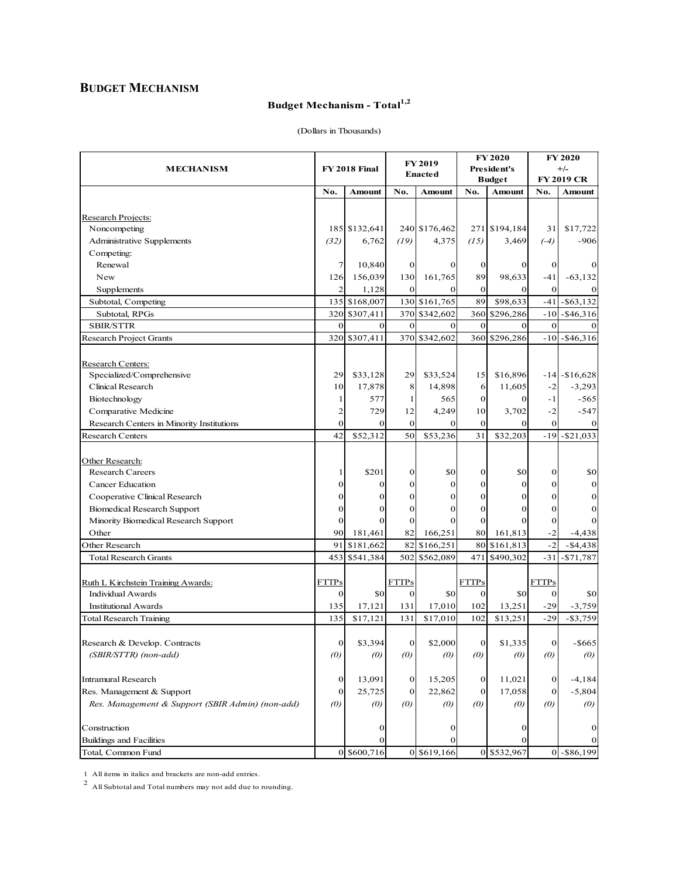## **BUDGET MECHANISM**

# Budget Mechanism - Total<sup>1,2</sup>

| <b>MECHANISM</b>                                 |                   | FY 2018 Final          |                       | <b>FY 2019</b><br><b>Enacted</b> |                   | <b>FY 2020</b><br><b>President's</b><br><b>Budget</b> |                         | <b>FY 2020</b><br>$+/-$<br><b>FY 2019 CR</b> |
|--------------------------------------------------|-------------------|------------------------|-----------------------|----------------------------------|-------------------|-------------------------------------------------------|-------------------------|----------------------------------------------|
|                                                  | No.               | Amount                 | No.                   | Amount                           | No.               | Amount                                                | No.                     | Amount                                       |
|                                                  |                   |                        |                       |                                  |                   |                                                       |                         |                                              |
| Research Projects:                               |                   |                        |                       |                                  |                   |                                                       |                         |                                              |
| Noncompeting                                     |                   | 185 \$132,641          |                       | 240 \$176,462                    |                   | 271 \$194,184                                         | 31                      | \$17,722                                     |
| Administrative Supplements                       | (32)              | 6,762                  | (19)                  | 4,375                            | (15)              | 3,469                                                 | $(-4)$                  | $-906$                                       |
| Competing:                                       |                   |                        |                       |                                  |                   |                                                       |                         |                                              |
| Renewal                                          | 7                 | 10,840                 | 0                     | 0                                | $\bf{0}$          | 0                                                     | $\mathbf 0$             | 0                                            |
| New                                              | 126               | 156,039                | 130<br>$\overline{0}$ | 161,765                          | 89<br>$\vert$ 0   | 98,633                                                | $-41$<br>$\overline{0}$ | $-63,132$                                    |
| Supplements                                      | $\overline{2}$    | 1,128<br>135 \$168,007 |                       | $\mathbf{0}$<br>130 \$161,765    | 89                | 0<br>\$98,633                                         | $-41$                   | $-$ \$63.132                                 |
| Subtotal, Competing<br>Subtotal, RPGs            | 320               | \$307,411              |                       | 370 \$342,602                    | 360               | \$296,286                                             | $-10$                   | $-$ \$46,316                                 |
| <b>SBIR/STTR</b>                                 | $\mathbf{0}$      | $\mathbf{0}$           | $\mathbf{0}$          | $\mathbf{0}$                     | $\mathbf{0}$      | $\Omega$                                              | $\Omega$                |                                              |
| Research Project Grants                          | 320               | \$307,411              |                       | 370 \$342,602                    | 360               | \$296,286                                             | $-10$                   | $-$ \$46,316                                 |
|                                                  |                   |                        |                       |                                  |                   |                                                       |                         |                                              |
| Research Centers:                                |                   |                        |                       |                                  |                   |                                                       |                         |                                              |
| Specialized/Comprehensive                        | 29                | \$33,128               | 29                    | \$33,524                         | 15                | \$16,896                                              |                         | $-14$ $- $16,628$                            |
| Clinical Research                                | 10                | 17,878                 | 8                     | 14,898                           | 6                 | 11,605                                                | $-2$                    | $-3,293$                                     |
| Biotechnology                                    | 1                 | 577                    | 1                     | 565                              | $\mathbf{0}$      | $\Omega$                                              | $-1$                    | -565                                         |
| Comparative Medicine                             | $\overline{c}$    | 729                    | 12                    | 4,249                            | 10                | 3,702                                                 | $-2$                    | $-547$                                       |
| Research Centers in Minority Institutions        | $\mathbf{0}$      | $\mathbf{0}$           | $\mathbf{0}$          | $\Omega$                         | $\mathbf{0}$      | $\Omega$                                              | $\mathbf{0}$            |                                              |
| Research Centers                                 | 42                | \$52,312               | 50                    | \$53,236                         | 31                | \$32,203                                              |                         | $-19$ $-$ \$21,033                           |
|                                                  |                   |                        |                       |                                  |                   |                                                       |                         |                                              |
| Other Research:                                  |                   |                        |                       |                                  |                   |                                                       |                         |                                              |
| <b>Research Careers</b>                          | 1                 | \$201                  | $\mathbf{0}$          | \$0                              | $\boldsymbol{0}$  | \$0                                                   | $\vert$ 0               | \$0                                          |
| Cancer Education                                 | $\boldsymbol{0}$  | $\mathbf{0}$           | 0                     | $\mathbf{0}$                     | $\overline{0}$    | $\mathbf{0}$                                          | $\mathbf{0}$            | $\bf{0}$                                     |
| Cooperative Clinical Research                    | $\mathbf{0}$      | $\Omega$               | $\mathbf{0}$          | $\Omega$                         | $\boldsymbol{0}$  | $\mathbf{0}$                                          | $\Omega$                | 0                                            |
| <b>Biomedical Research Support</b>               | $\mathbf{0}$      | 0                      | $\mathbf{0}$          | 0                                | $\mathbf{0}$      | 0                                                     | $\mathbf{0}$            | $\mathbf{0}$                                 |
| Minority Biomedical Research Support             | $\mathbf{0}$      | $\Omega$               | $\mathbf{0}$          | $\Omega$                         | $\mathbf{0}$      |                                                       | $\mathbf{0}$            |                                              |
| Other                                            | 90                | 181,461                | 82                    | 166,251                          | 80                | 161,813                                               | $-2$                    | $-4,438$                                     |
| Other Research                                   | 91                | \$181,662              | 82                    | \$166,251                        | 80                | \$161,813                                             | $-2$                    | $-$ \$4,438                                  |
| <b>Total Research Grants</b>                     | 453               | \$541,384              | 502                   | \$562,089                        | 471               | \$490,302                                             | $-31$                   | $- $71,787$                                  |
| Ruth L Kirchstein Training Awards:               | <b>FTTPs</b>      |                        | <b>FTTPs</b>          |                                  | <b>FTTPs</b>      |                                                       | <b>FTTPs</b>            |                                              |
| <b>Individual Awards</b>                         | $\mathbf{0}$      | \$0                    | $\vert$ 0             | \$0                              | $\mathbf{0}$      | \$0                                                   | $\mathbf{0}$            | \$0                                          |
| <b>Institutional Awards</b>                      | 135               | 17,121                 | 131                   | 17,010                           | 102               | 13,251                                                | $-29$                   | $-3,759$                                     |
| Total Research Training                          | 135               | \$17,121               | 131                   | \$17,010                         | 102               | \$13,251                                              | $-29$                   | $- $3,759$                                   |
|                                                  |                   |                        |                       |                                  |                   |                                                       |                         |                                              |
| Research & Develop. Contracts                    | $\vert$ 0         | \$3,394                | $\overline{0}$        | \$2,000                          | $\bf{0}$          | \$1,335                                               | $\vert 0 \vert$         | -\$665                                       |
| (SBIR/STTR) (non-add)                            | $\left( 0\right)$ | $\left( 0\right)$      | $\left( 0\right)$     | (0)                              | $\left( 0\right)$ | (0)                                                   | $\left( 0\right)$       | $\left( 0\right)$                            |
| Intramural Research                              | 0                 | 13,091                 | $\mathbf{0}$          | 15,205                           | 0                 | 11,021                                                | $\mathbf{0}$            | $-4,184$                                     |
| Res. Management & Support                        | 0                 | 25,725                 | 0                     | 22,862                           | 0                 | 17,058                                                | $\overline{0}$          | $-5,804$                                     |
| Res. Management & Support (SBIR Admin) (non-add) | (0)               | $\left( 0\right)$      | $\left( 0\right)$     | $\left( 0\right)$                | $\left( 0\right)$ | $\left( 0\right)$                                     | $\omega$                | $\left( 0\right)$                            |
|                                                  |                   |                        |                       |                                  |                   |                                                       |                         |                                              |
| Construction                                     |                   | 0                      |                       | 0                                |                   | 0                                                     |                         | 0                                            |
| Buildings and Facilities                         |                   |                        |                       |                                  |                   |                                                       |                         |                                              |
| Total, Common Fund                               |                   | 0 \$600,716            |                       | 0 \$619,166                      |                   | 0 \$532,967                                           |                         | $0 - $86,199$                                |

(Dollars in Thousands)

1 All items in italics and brackets are non-add entries. <sup>2</sup> All Subtotal and Total numbers may not add due to rounding.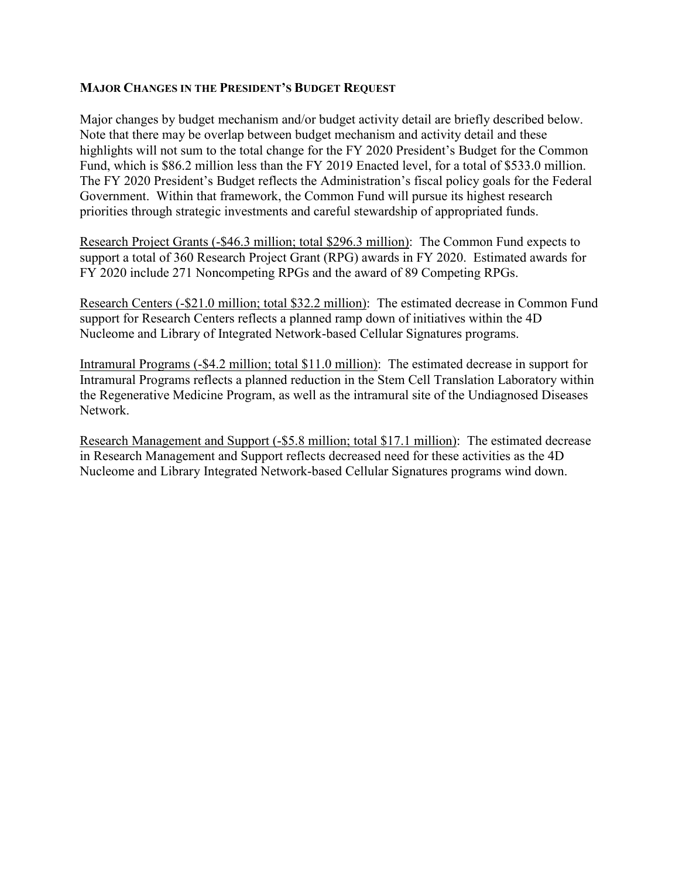#### **MAJOR CHANGES IN THE PRESIDENT'S BUDGET REQUEST**

Major changes by budget mechanism and/or budget activity detail are briefly described below. Note that there may be overlap between budget mechanism and activity detail and these highlights will not sum to the total change for the FY 2020 President's Budget for the Common Fund, which is \$86.2 million less than the FY 2019 Enacted level, for a total of \$533.0 million. The FY 2020 President's Budget reflects the Administration's fiscal policy goals for the Federal Government. Within that framework, the Common Fund will pursue its highest research priorities through strategic investments and careful stewardship of appropriated funds.

Research Project Grants (-\$46.3 million; total \$296.3 million): The Common Fund expects to support a total of 360 Research Project Grant (RPG) awards in FY 2020. Estimated awards for FY 2020 include 271 Noncompeting RPGs and the award of 89 Competing RPGs.

Research Centers (-\$21.0 million; total \$32.2 million): The estimated decrease in Common Fund support for Research Centers reflects a planned ramp down of initiatives within the 4D Nucleome and Library of Integrated Network-based Cellular Signatures programs.

Intramural Programs (-\$4.2 million; total \$11.0 million): The estimated decrease in support for Intramural Programs reflects a planned reduction in the Stem Cell Translation Laboratory within the Regenerative Medicine Program, as well as the intramural site of the Undiagnosed Diseases Network.

Research Management and Support (-\$5.8 million; total \$17.1 million): The estimated decrease in Research Management and Support reflects decreased need for these activities as the 4D Nucleome and Library Integrated Network-based Cellular Signatures programs wind down.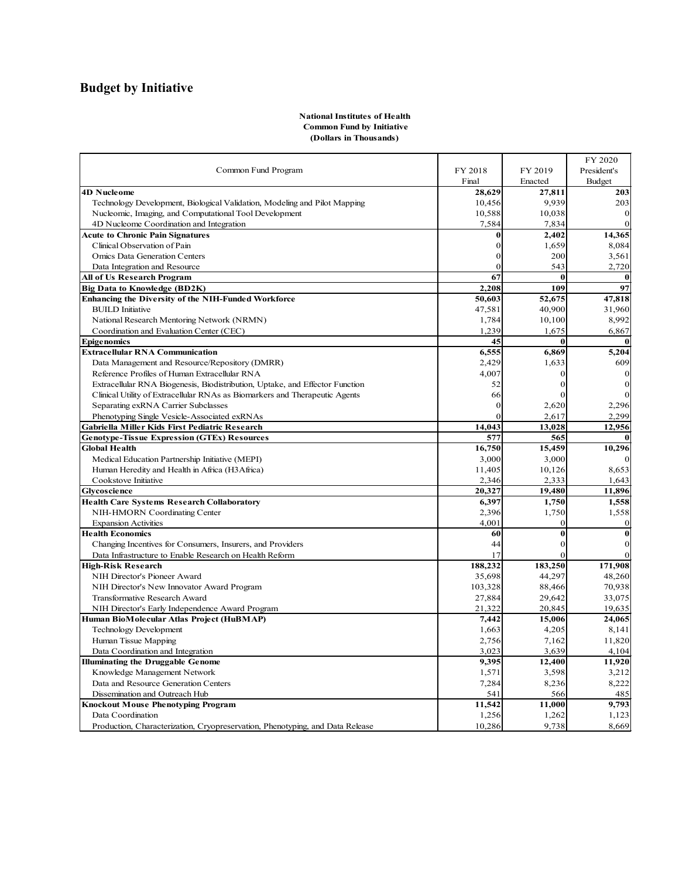# **Budget by Initiative**

#### **National Institutes of Health Common Fund by Initiative (Dollars in Thousands)**

|                                                                               |          |                | FY 2020          |
|-------------------------------------------------------------------------------|----------|----------------|------------------|
| Common Fund Program                                                           | FY 2018  | FY 2019        | President's      |
|                                                                               | Final    | Enacted        | Budget           |
| 4D Nucleome                                                                   | 28,629   | 27,811         | 203              |
| Technology Development, Biological Validation, Modeling and Pilot Mapping     | 10,456   | 9.939          | 203              |
| Nucleomic, Imaging, and Computational Tool Development                        | 10,588   | 10,038         | $\mathbf{0}$     |
| 4D Nucleome Coordination and Integration                                      | 7,584    | 7,834          | $\mathbf{0}$     |
| <b>Acute to Chronic Pain Signatures</b>                                       | 0        | 2,402          | 14,365           |
| Clinical Observation of Pain                                                  | 0        | 1,659          | 8,084            |
| <b>Omics Data Generation Centers</b>                                          | $\theta$ | 200            | 3,561            |
| Data Integration and Resource                                                 | $\theta$ | 543            | 2,720            |
| All of Us Research Program                                                    | 67       | $\mathbf{0}$   | $\bf{0}$         |
| <b>Big Data to Knowledge (BD2K)</b>                                           | 2,208    | 109            | 97               |
| Enhancing the Diversity of the NIH-Funded Workforce                           | 50,603   | 52,675         | 47,818           |
| <b>BUILD</b> Initiative                                                       | 47,581   | 40,900         | 31,960           |
| National Research Mentoring Network (NRMN)                                    | 1,784    | 10,100         | 8,992            |
| Coordination and Evaluation Center (CEC)                                      | 1,239    | 1,675          | 6,867            |
| <b>Epigenomics</b>                                                            | 45       | $\bf{0}$       | $\bf{0}$         |
| <b>Extracellular RNA Communication</b>                                        | 6,555    | 6,869          | 5,204            |
| Data Management and Resource/Repository (DMRR)                                | 2,429    | 1,633          | 609              |
| Reference Profiles of Human Extracellular RNA                                 | 4,007    | $\overline{0}$ | $\mathbf{0}$     |
| Extracellular RNA Biogenesis, Biodistribution, Uptake, and Effector Function  | 52       | $\Omega$       | $\boldsymbol{0}$ |
| Clinical Utility of Extracellular RNAs as Biomarkers and Therapeutic Agents   | 66       | $\overline{0}$ | $\mathbf{0}$     |
| Separating exRNA Carrier Subclasses                                           | $\Omega$ | 2,620          | 2,296            |
| Phenotyping Single Vesicle-Associated exRNAs                                  | $\theta$ | 2,617          | 2,299            |
| Gabriella Miller Kids First Pediatric Research                                | 14,043   | 13,028         | 12,956           |
| <b>Genotype-Tissue Expression (GTEx) Resources</b>                            | 577      | 565            | $\mathbf{0}$     |
| <b>Global Health</b>                                                          | 16,750   | 15,459         | 10,296           |
| Medical Education Partnership Initiative (MEPI)                               | 3,000    | 3,000          | $\mathbf{0}$     |
| Human Heredity and Health in Africa (H3Africa)                                | 11,405   | 10,126         | 8,653            |
| Cookstove Initiative                                                          | 2,346    | 2,333          | 1,643            |
| <b>Glycoscience</b>                                                           | 20,327   | 19,480         | 11,896           |
| <b>Health Care Systems Research Collaboratory</b>                             | 6,397    | 1,750          | 1,558            |
| NIH-HMORN Coordinating Center                                                 | 2,396    | 1,750          | 1,558            |
| <b>Expansion Activities</b>                                                   | 4,001    | $\Omega$       | $\mathbf{0}$     |
| <b>Health Economics</b>                                                       | 60       | $\bf{0}$       | $\bf{0}$         |
| Changing Incentives for Consumers, Insurers, and Providers                    | 44       | $\overline{0}$ | $\boldsymbol{0}$ |
| Data Infrastructure to Enable Research on Health Reform                       | 17       | $\Omega$       | $\overline{0}$   |
| <b>High-Risk Research</b>                                                     | 188,232  | 183,250        | 171,908          |
| NIH Director's Pioneer Award                                                  | 35,698   | 44,297         | 48,260           |
| NIH Director's New Innovator Award Program                                    | 103,328  | 88,466         | 70,938           |
| Transformative Research Award                                                 | 27,884   | 29,642         | 33,075           |
| NIH Director's Early Independence Award Program                               | 21,322   | 20,845         | 19,635           |
| Human BioMolecular Atlas Project (HuBMAP)                                     | 7,442    | 15,006         | 24,065           |
| Technology Development                                                        | 1,663    | 4,205          | 8,141            |
| Human Tissue Mapping                                                          | 2,756    | 7,162          | 11,820           |
| Data Coordination and Integration                                             | 3,023    | 3,639          | 4,104            |
| <b>Illuminating the Druggable Genome</b>                                      | 9,395    | 12,400         | 11,920           |
|                                                                               | 1,571    | 3,598          | 3,212            |
| Knowledge Management Network<br>Data and Resource Generation Centers          | 7,284    | 8,236          | 8,222            |
| Dissemination and Outreach Hub                                                | 541      | 566            | 485              |
| Knockout Mouse Phenotyping Program                                            | 11,542   | 11,000         | 9,793            |
| Data Coordination                                                             | 1,256    | 1,262          | 1,123            |
| Production, Characterization, Cryopreservation, Phenotyping, and Data Release | 10,286   | 9,738          | 8,669            |
|                                                                               |          |                |                  |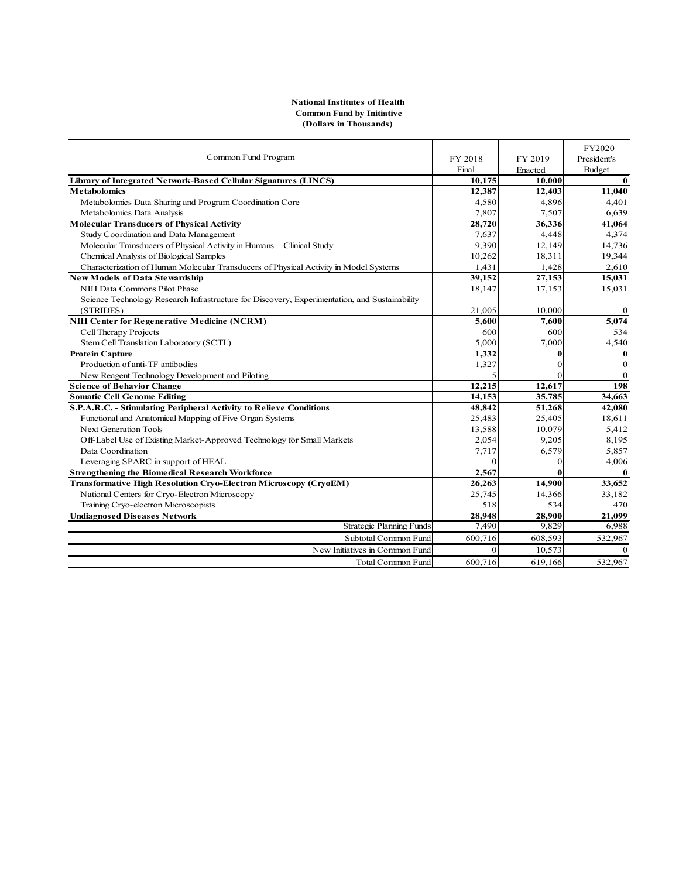#### **National Institutes of Health Common Fund by Initiative (Dollars in Thousands)**

|                                                                                               |          |          | FY2020         |
|-----------------------------------------------------------------------------------------------|----------|----------|----------------|
| Common Fund Program                                                                           | FY 2018  | FY 2019  | President's    |
|                                                                                               | Final    | Enacted  | Budget         |
| Library of Integrated Network-Based Cellular Signatures (LINCS)                               | 10.175   | 10,000   | $\bf{0}$       |
| <b>Metabolomics</b>                                                                           | 12,387   | 12,403   | 11,040         |
| Metabolomics Data Sharing and Program Coordination Core                                       | 4,580    | 4,896    | 4,401          |
| Metabolomics Data Analysis                                                                    | 7,807    | 7,507    | 6,639          |
| <b>Molecular Transducers of Physical Activity</b>                                             | 28,720   | 36,336   | 41,064         |
| Study Coordination and Data Management                                                        | 7,637    | 4,448    | 4,374          |
| Molecular Transducers of Physical Activity in Humans - Clinical Study                         | 9.390    | 12,149   | 14,736         |
| Chemical Analysis of Biological Samples                                                       | 10,262   | 18,311   | 19,344         |
| Characterization of Human Molecular Transducers of Physical Activity in Model Systems         | 1.431    | 1,428    | 2,610          |
| New Models of Data Stewardship                                                                | 39,152   | 27,153   | 15,031         |
| NIH Data Commons Pilot Phase                                                                  | 18,147   | 17,153   | 15,031         |
| Science Technology Research Infrastructure for Discovery, Experimentation, and Sustainability |          |          |                |
| (STRIDES)                                                                                     | 21,005   | 10,000   | $\mathbf{0}$   |
| NIH Center for Regenerative Medicine (NCRM)                                                   | 5,600    | 7,600    | 5,074          |
| Cell Therapy Projects                                                                         | 600      | 600      | 534            |
| Stem Cell Translation Laboratory (SCTL)                                                       | 5,000    | 7,000    | 4,540          |
| <b>Protein Capture</b>                                                                        | 1,332    | $\bf{0}$ | $\bf{0}$       |
| Production of anti-TF antibodies                                                              | 1,327    | 0        | $\mathbf{0}$   |
| New Reagent Technology Development and Piloting                                               |          |          | $\overline{0}$ |
| <b>Science of Behavior Change</b>                                                             | 12,215   | 12,617   | 198            |
| <b>Somatic Cell Genome Editing</b>                                                            | 14,153   | 35,785   | 34,663         |
| S.P.A.R.C. - Stimulating Peripheral Activity to Relieve Conditions                            | 48,842   | 51,268   | 42,080         |
| Functional and Anatomical Mapping of Five Organ Systems                                       | 25,483   | 25,405   | 18,611         |
| <b>Next Generation Tools</b>                                                                  | 13,588   | 10,079   | 5,412          |
| Off-Label Use of Existing Market-Approved Technology for Small Markets                        | 2,054    | 9,205    | 8,195          |
| Data Coordination                                                                             | 7,717    | 6,579    | 5,857          |
| Leveraging SPARC in support of HEAL                                                           | $\Omega$ | $\Omega$ | 4,006          |
| <b>Strengthening the Biomedical Research Workforce</b>                                        | 2,567    | 0        | $\mathbf{0}$   |
| <b>Transformative High Resolution Cryo-Electron Microscopy (CryoEM)</b>                       | 26,263   | 14,900   | 33,652         |
| National Centers for Cryo-Electron Microscopy                                                 | 25,745   | 14,366   | 33,182         |
| Training Cryo-electron Microscopists                                                          | 518      | 534      | 470            |
| <b>Undiagnosed Diseases Network</b>                                                           | 28,948   | 28,900   | 21,099         |
| Strategic Planning Funds                                                                      | 7,490    | 9,829    | 6,988          |
| Subtotal Common Fund                                                                          | 600,716  | 608,593  | 532,967        |
| New Initiatives in Common Fund                                                                | $\theta$ | 10,573   | $\mathbf{0}$   |
| <b>Total Common Fund</b>                                                                      | 600,716  | 619,166  | 532,967        |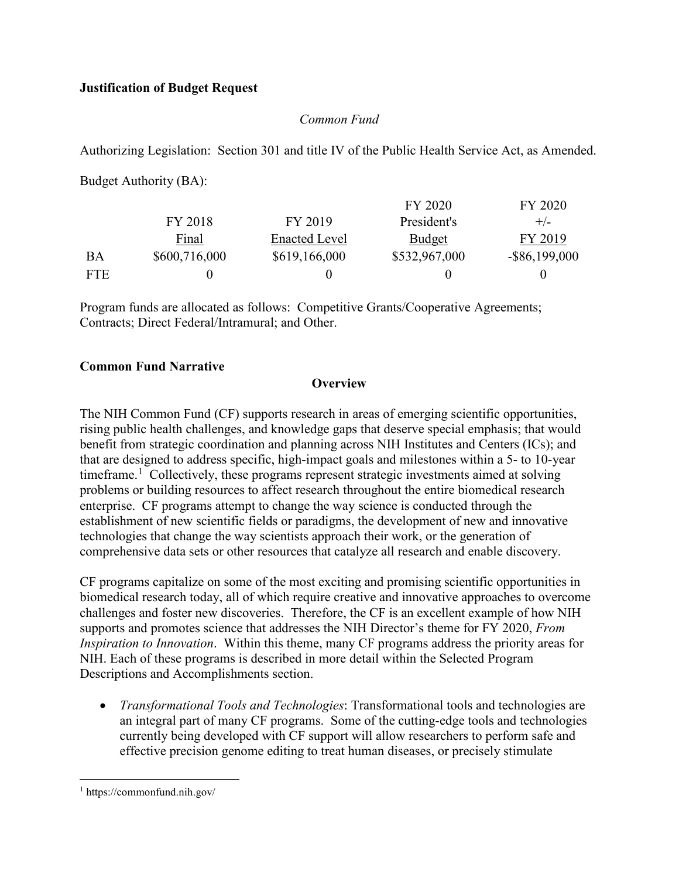## **Justification of Budget Request**

### *Common Fund*

Authorizing Legislation: Section 301 and title IV of the Public Health Service Act, as Amended.

Budget Authority (BA):

|            |               |                      | FY 2020       | FY 2020          |
|------------|---------------|----------------------|---------------|------------------|
|            | FY 2018       | FY 2019              | President's   | $+/-$            |
|            | Final         | <b>Enacted Level</b> | <b>Budget</b> | FY 2019          |
| BA         | \$600,716,000 | \$619,166,000        | \$532,967,000 | $-$ \$86,199,000 |
| <b>FTE</b> |               |                      |               |                  |

Program funds are allocated as follows: Competitive Grants/Cooperative Agreements; Contracts; Direct Federal/Intramural; and Other.

### **Common Fund Narrative**

### **Overview**

The NIH Common Fund (CF) supports research in areas of emerging scientific opportunities, rising public health challenges, and knowledge gaps that deserve special emphasis; that would benefit from strategic coordination and planning across NIH Institutes and Centers (ICs); and that are designed to address specific, high-impact goals and milestones within a 5- to 10-year timeframe.<sup>[1](#page-5-0)</sup> Collectively, these programs represent strategic investments aimed at solving problems or building resources to affect research throughout the entire biomedical research enterprise. CF programs attempt to change the way science is conducted through the establishment of new scientific fields or paradigms, the development of new and innovative technologies that change the way scientists approach their work, or the generation of comprehensive data sets or other resources that catalyze all research and enable discovery.

CF programs capitalize on some of the most exciting and promising scientific opportunities in biomedical research today, all of which require creative and innovative approaches to overcome challenges and foster new discoveries. Therefore, the CF is an excellent example of how NIH supports and promotes science that addresses the NIH Director's theme for FY 2020, *From Inspiration to Innovation*. Within this theme, many CF programs address the priority areas for NIH. Each of these programs is described in more detail within the Selected Program Descriptions and Accomplishments section.

• *Transformational Tools and Technologies*: Transformational tools and technologies are an integral part of many CF programs. Some of the cutting-edge tools and technologies currently being developed with CF support will allow researchers to perform safe and effective precision genome editing to treat human diseases, or precisely stimulate

<span id="page-5-0"></span> $\overline{a}$ <sup>1</sup> https://commonfund.nih.gov/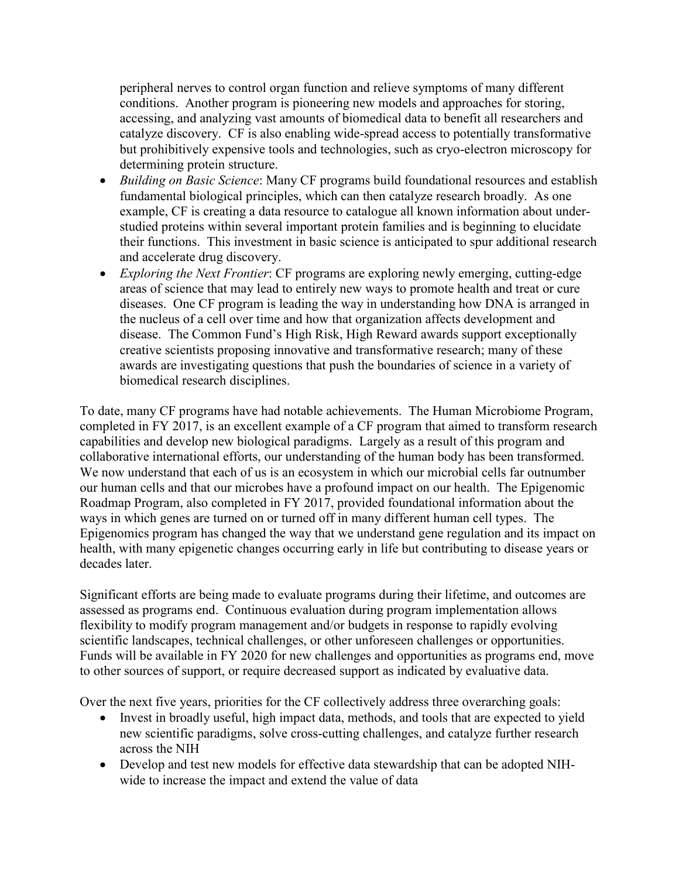peripheral nerves to control organ function and relieve symptoms of many different conditions. Another program is pioneering new models and approaches for storing, accessing, and analyzing vast amounts of biomedical data to benefit all researchers and catalyze discovery. CF is also enabling wide-spread access to potentially transformative but prohibitively expensive tools and technologies, such as cryo-electron microscopy for determining protein structure.

- *Building on Basic Science*: Many CF programs build foundational resources and establish fundamental biological principles, which can then catalyze research broadly. As one example, CF is creating a data resource to catalogue all known information about understudied proteins within several important protein families and is beginning to elucidate their functions. This investment in basic science is anticipated to spur additional research and accelerate drug discovery.
- *Exploring the Next Frontier*: CF programs are exploring newly emerging, cutting-edge areas of science that may lead to entirely new ways to promote health and treat or cure diseases. One CF program is leading the way in understanding how DNA is arranged in the nucleus of a cell over time and how that organization affects development and disease. The Common Fund's High Risk, High Reward awards support exceptionally creative scientists proposing innovative and transformative research; many of these awards are investigating questions that push the boundaries of science in a variety of biomedical research disciplines.

To date, many CF programs have had notable achievements. The Human Microbiome Program, completed in FY 2017, is an excellent example of a CF program that aimed to transform research capabilities and develop new biological paradigms. Largely as a result of this program and collaborative international efforts, our understanding of the human body has been transformed. We now understand that each of us is an ecosystem in which our microbial cells far outnumber our human cells and that our microbes have a profound impact on our health. The Epigenomic Roadmap Program, also completed in FY 2017, provided foundational information about the ways in which genes are turned on or turned off in many different human cell types. The Epigenomics program has changed the way that we understand gene regulation and its impact on health, with many epigenetic changes occurring early in life but contributing to disease years or decades later.

Significant efforts are being made to evaluate programs during their lifetime, and outcomes are assessed as programs end. Continuous evaluation during program implementation allows flexibility to modify program management and/or budgets in response to rapidly evolving scientific landscapes, technical challenges, or other unforeseen challenges or opportunities. Funds will be available in FY 2020 for new challenges and opportunities as programs end, move to other sources of support, or require decreased support as indicated by evaluative data.

Over the next five years, priorities for the CF collectively address three overarching goals:

- Invest in broadly useful, high impact data, methods, and tools that are expected to yield new scientific paradigms, solve cross-cutting challenges, and catalyze further research across the NIH
- Develop and test new models for effective data stewardship that can be adopted NIHwide to increase the impact and extend the value of data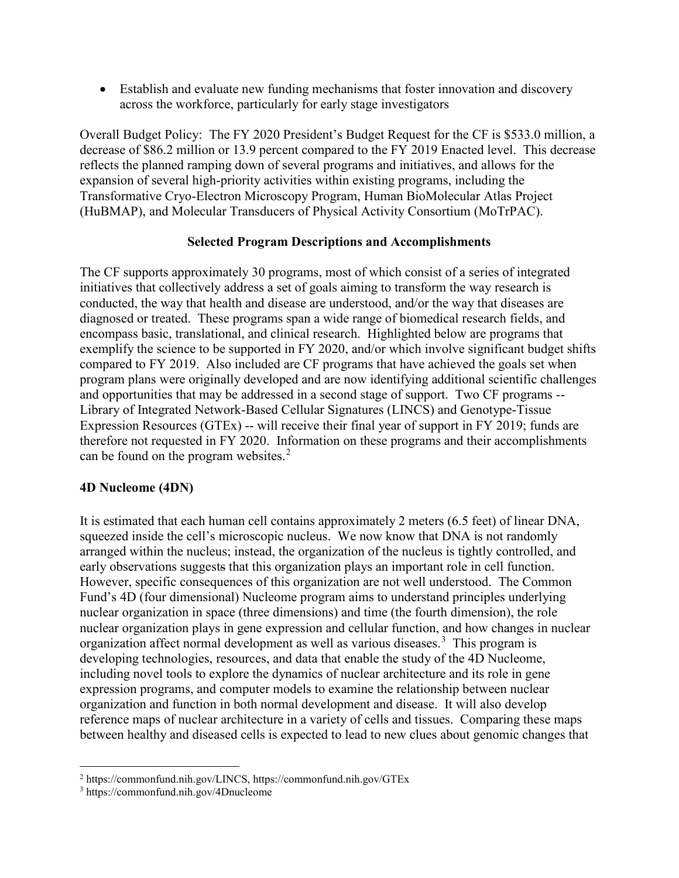• Establish and evaluate new funding mechanisms that foster innovation and discovery across the workforce, particularly for early stage investigators

Overall Budget Policy: The FY 2020 President's Budget Request for the CF is \$533.0 million, a decrease of \$86.2 million or 13.9 percent compared to the FY 2019 Enacted level. This decrease reflects the planned ramping down of several programs and initiatives, and allows for the expansion of several high-priority activities within existing programs, including the Transformative Cryo-Electron Microscopy Program, Human BioMolecular Atlas Project (HuBMAP), and Molecular Transducers of Physical Activity Consortium (MoTrPAC).

#### **Selected Program Descriptions and Accomplishments**

The CF supports approximately 30 programs, most of which consist of a series of integrated initiatives that collectively address a set of goals aiming to transform the way research is conducted, the way that health and disease are understood, and/or the way that diseases are diagnosed or treated. These programs span a wide range of biomedical research fields, and encompass basic, translational, and clinical research. Highlighted below are programs that exemplify the science to be supported in FY 2020, and/or which involve significant budget shifts compared to FY 2019. Also included are CF programs that have achieved the goals set when program plans were originally developed and are now identifying additional scientific challenges and opportunities that may be addressed in a second stage of support. Two CF programs -- Library of Integrated Network-Based Cellular Signatures (LINCS) and Genotype-Tissue Expression Resources (GTEx) -- will receive their final year of support in FY 2019; funds are therefore not requested in FY 2020. Information on these programs and their accomplishments can be found on the program websites.<sup>[2](#page-7-0)</sup>

### **4D Nucleome (4DN)**

It is estimated that each human cell contains approximately 2 meters (6.5 feet) of linear DNA, squeezed inside the cell's microscopic nucleus. We now know that DNA is not randomly arranged within the nucleus; instead, the organization of the nucleus is tightly controlled, and early observations suggests that this organization plays an important role in cell function. However, specific consequences of this organization are not well understood. The Common Fund's 4D (four dimensional) Nucleome program aims to understand principles underlying nuclear organization in space (three dimensions) and time (the fourth dimension), the role nuclear organization plays in gene expression and cellular function, and how changes in nuclear organization affect normal development as well as various diseases.<sup>[3](#page-7-1)</sup> This program is developing technologies, resources, and data that enable the study of the 4D Nucleome, including novel tools to explore the dynamics of nuclear architecture and its role in gene expression programs, and computer models to examine the relationship between nuclear organization and function in both normal development and disease. It will also develop reference maps of nuclear architecture in a variety of cells and tissues. Comparing these maps between healthy and diseased cells is expected to lead to new clues about genomic changes that

<span id="page-7-0"></span><sup>2</sup> https://commonfund.nih.gov/LINCS,<https://commonfund.nih.gov/GTEx>

<span id="page-7-1"></span><sup>3</sup> https://commonfund.nih.gov/4Dnucleome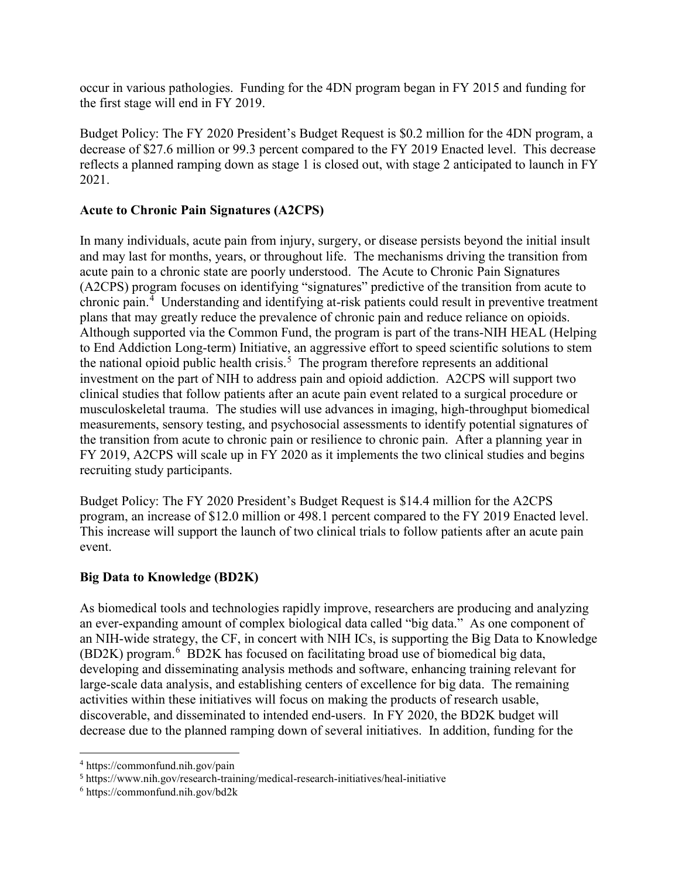occur in various pathologies. Funding for the 4DN program began in FY 2015 and funding for the first stage will end in FY 2019.

Budget Policy: The FY 2020 President's Budget Request is \$0.2 million for the 4DN program, a decrease of \$27.6 million or 99.3 percent compared to the FY 2019 Enacted level. This decrease reflects a planned ramping down as stage 1 is closed out, with stage 2 anticipated to launch in FY 2021.

## **Acute to Chronic Pain Signatures (A2CPS)**

In many individuals, acute pain from injury, surgery, or disease persists beyond the initial insult and may last for months, years, or throughout life. The mechanisms driving the transition from acute pain to a chronic state are poorly understood. The Acute to Chronic Pain Signatures (A2CPS) program focuses on identifying "signatures" predictive of the transition from acute to chronic pain.<sup>[4](#page-8-0)</sup> Understanding and identifying at-risk patients could result in preventive treatment plans that may greatly reduce the prevalence of chronic pain and reduce reliance on opioids. Although supported via the Common Fund, the program is part of the trans-NIH HEAL (Helping to End Addiction Long-term) Initiative, an aggressive effort to speed scientific solutions to stem the national opioid public health crisis.<sup>[5](#page-8-1)</sup> The program therefore represents an additional investment on the part of NIH to address pain and opioid addiction. A2CPS will support two clinical studies that follow patients after an acute pain event related to a surgical procedure or musculoskeletal trauma. The studies will use advances in imaging, high-throughput biomedical measurements, sensory testing, and psychosocial assessments to identify potential signatures of the transition from acute to chronic pain or resilience to chronic pain. After a planning year in FY 2019, A2CPS will scale up in FY 2020 as it implements the two clinical studies and begins recruiting study participants.

Budget Policy: The FY 2020 President's Budget Request is \$14.4 million for the A2CPS program, an increase of \$12.0 million or 498.1 percent compared to the FY 2019 Enacted level. This increase will support the launch of two clinical trials to follow patients after an acute pain event.

### **Big Data to Knowledge (BD2K)**

As biomedical tools and technologies rapidly improve, researchers are producing and analyzing an ever-expanding amount of complex biological data called "big data." As one component of an NIH-wide strategy, the CF, in concert with NIH ICs, is supporting the Big Data to Knowledge (BD2K) program.<sup>[6](#page-8-2)</sup> BD2K has focused on facilitating broad use of biomedical big data, developing and disseminating analysis methods and software, enhancing training relevant for large-scale data analysis, and establishing centers of excellence for big data. The remaining activities within these initiatives will focus on making the products of research usable, discoverable, and disseminated to intended end-users. In FY 2020, the BD2K budget will decrease due to the planned ramping down of several initiatives. In addition, funding for the

<span id="page-8-0"></span> $\overline{a}$ <sup>4</sup> https://commonfund.nih.gov/pain

<span id="page-8-1"></span><sup>5</sup> https://www.nih.gov/research-training/medical-research-initiatives/heal-initiative

<span id="page-8-2"></span><sup>6</sup> https://commonfund.nih.gov/bd2k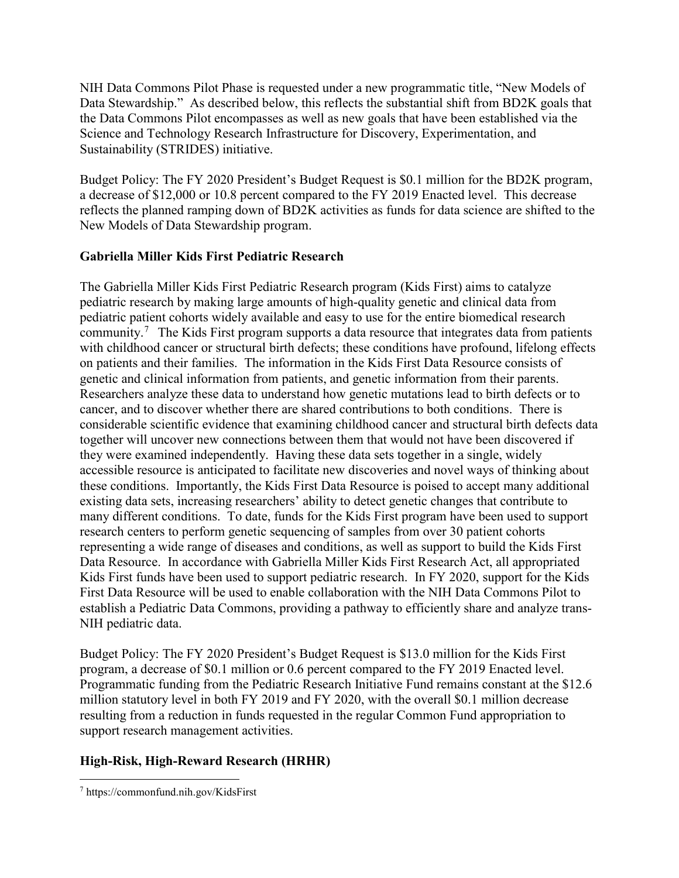NIH Data Commons Pilot Phase is requested under a new programmatic title, "New Models of Data Stewardship." As described below, this reflects the substantial shift from BD2K goals that the Data Commons Pilot encompasses as well as new goals that have been established via the Science and Technology Research Infrastructure for Discovery, Experimentation, and Sustainability (STRIDES) initiative.

Budget Policy: The FY 2020 President's Budget Request is \$0.1 million for the BD2K program, a decrease of \$12,000 or 10.8 percent compared to the FY 2019 Enacted level. This decrease reflects the planned ramping down of BD2K activities as funds for data science are shifted to the New Models of Data Stewardship program.

### **Gabriella Miller Kids First Pediatric Research**

The Gabriella Miller Kids First Pediatric Research program (Kids First) aims to catalyze pediatric research by making large amounts of high-quality genetic and clinical data from pediatric patient cohorts widely available and easy to use for the entire biomedical research community.<sup>[7](#page-9-0)</sup> The Kids First program supports a data resource that integrates data from patients with childhood cancer or structural birth defects; these conditions have profound, lifelong effects on patients and their families. The information in the Kids First Data Resource consists of genetic and clinical information from patients, and genetic information from their parents. Researchers analyze these data to understand how genetic mutations lead to birth defects or to cancer, and to discover whether there are shared contributions to both conditions. There is considerable scientific evidence that examining childhood cancer and structural birth defects data together will uncover new connections between them that would not have been discovered if they were examined independently. Having these data sets together in a single, widely accessible resource is anticipated to facilitate new discoveries and novel ways of thinking about these conditions. Importantly, the Kids First Data Resource is poised to accept many additional existing data sets, increasing researchers' ability to detect genetic changes that contribute to many different conditions. To date, funds for the Kids First program have been used to support research centers to perform genetic sequencing of samples from over 30 patient cohorts representing a wide range of diseases and conditions, as well as support to build the Kids First Data Resource. In accordance with Gabriella Miller Kids First Research Act, all appropriated Kids First funds have been used to support pediatric research. In FY 2020, support for the Kids First Data Resource will be used to enable collaboration with the NIH Data Commons Pilot to establish a Pediatric Data Commons, providing a pathway to efficiently share and analyze trans-NIH pediatric data.

Budget Policy: The FY 2020 President's Budget Request is \$13.0 million for the Kids First program, a decrease of \$0.1 million or 0.6 percent compared to the FY 2019 Enacted level. Programmatic funding from the Pediatric Research Initiative Fund remains constant at the \$12.6 million statutory level in both FY 2019 and FY 2020, with the overall \$0.1 million decrease resulting from a reduction in funds requested in the regular Common Fund appropriation to support research management activities.

## **High-Risk, High-Reward Research (HRHR)**

<span id="page-9-0"></span> $\overline{a}$ <sup>7</sup> https://commonfund.nih.gov/KidsFirst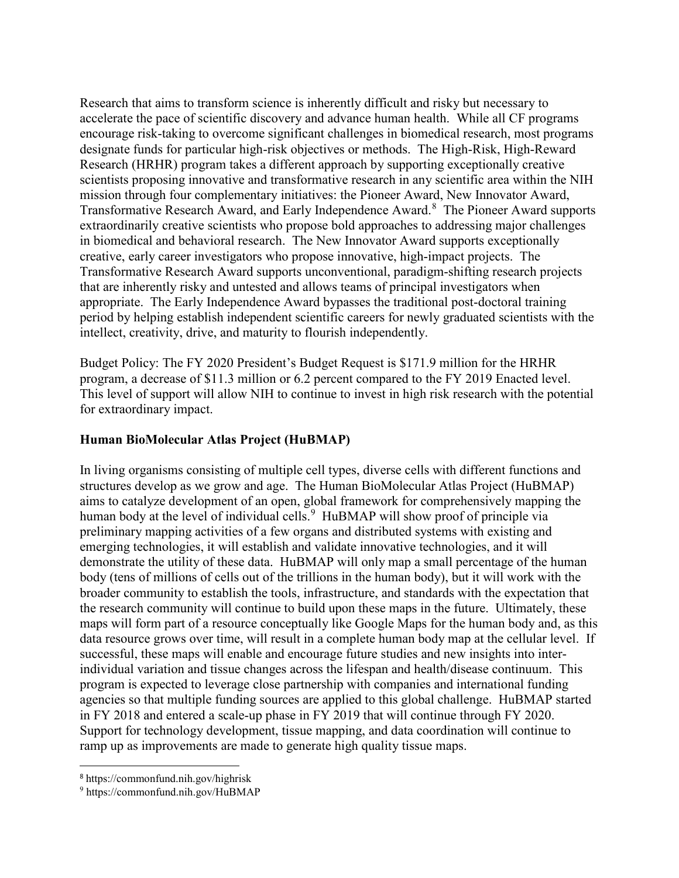Research that aims to transform science is inherently difficult and risky but necessary to accelerate the pace of scientific discovery and advance human health. While all CF programs encourage risk-taking to overcome significant challenges in biomedical research, most programs designate funds for particular high-risk objectives or methods. The High-Risk, High-Reward Research (HRHR) program takes a different approach by supporting exceptionally creative scientists proposing innovative and transformative research in any scientific area within the NIH mission through four complementary initiatives: the Pioneer Award, New Innovator Award, Transformative Research Award, and Early Independence Award.<sup>[8](#page-10-0)</sup> The Pioneer Award supports extraordinarily creative scientists who propose bold approaches to addressing major challenges in biomedical and behavioral research. The New Innovator Award supports exceptionally creative, early career investigators who propose innovative, high-impact projects. The Transformative Research Award supports unconventional, paradigm-shifting research projects that are inherently risky and untested and allows teams of principal investigators when appropriate. The Early Independence Award bypasses the traditional post-doctoral training period by helping establish independent scientific careers for newly graduated scientists with the intellect, creativity, drive, and maturity to flourish independently.

Budget Policy: The FY 2020 President's Budget Request is \$171.9 million for the HRHR program, a decrease of \$11.3 million or 6.2 percent compared to the FY 2019 Enacted level. This level of support will allow NIH to continue to invest in high risk research with the potential for extraordinary impact.

### **Human BioMolecular Atlas Project (HuBMAP)**

In living organisms consisting of multiple cell types, diverse cells with different functions and structures develop as we grow and age. The Human BioMolecular Atlas Project (HuBMAP) aims to catalyze development of an open, global framework for comprehensively mapping the human body at the level of individual cells.<sup>[9](#page-10-1)</sup> HuBMAP will show proof of principle via preliminary mapping activities of a few organs and distributed systems with existing and emerging technologies, it will establish and validate innovative technologies, and it will demonstrate the utility of these data. HuBMAP will only map a small percentage of the human body (tens of millions of cells out of the trillions in the human body), but it will work with the broader community to establish the tools, infrastructure, and standards with the expectation that the research community will continue to build upon these maps in the future. Ultimately, these maps will form part of a resource conceptually like Google Maps for the human body and, as this data resource grows over time, will result in a complete human body map at the cellular level. If successful, these maps will enable and encourage future studies and new insights into interindividual variation and tissue changes across the lifespan and health/disease continuum. This program is expected to leverage close partnership with companies and international funding agencies so that multiple funding sources are applied to this global challenge. HuBMAP started in FY 2018 and entered a scale-up phase in FY 2019 that will continue through FY 2020. Support for technology development, tissue mapping, and data coordination will continue to ramp up as improvements are made to generate high quality tissue maps.

<span id="page-10-0"></span><sup>8</sup> https://commonfund.nih.gov/highrisk

<span id="page-10-1"></span><sup>9</sup> https://commonfund.nih.gov/HuBMAP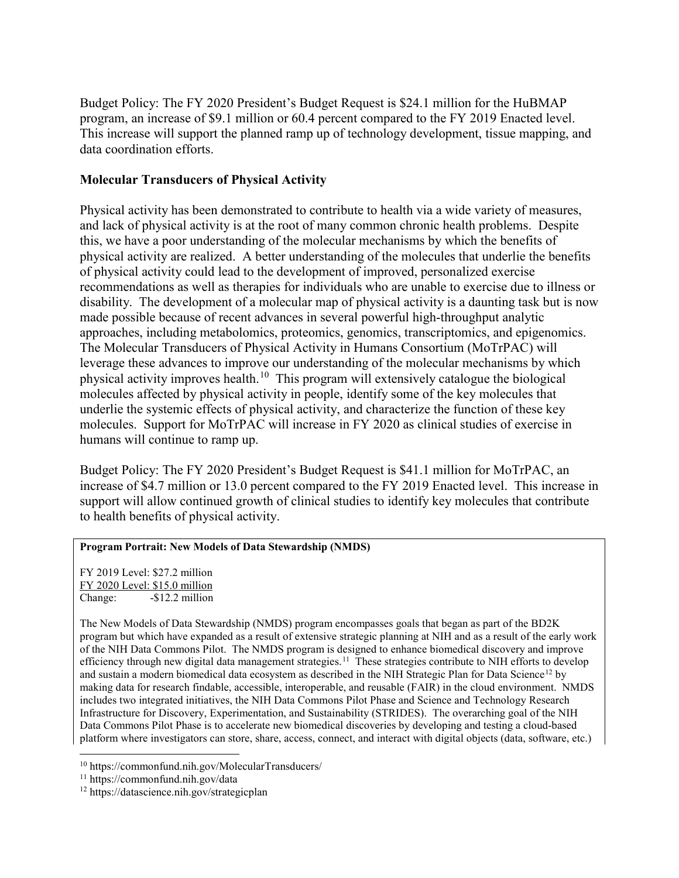Budget Policy: The FY 2020 President's Budget Request is \$24.1 million for the HuBMAP program, an increase of \$9.1 million or 60.4 percent compared to the FY 2019 Enacted level. This increase will support the planned ramp up of technology development, tissue mapping, and data coordination efforts.

### **Molecular Transducers of Physical Activity**

Physical activity has been demonstrated to contribute to health via a wide variety of measures, and lack of physical activity is at the root of many common chronic health problems. Despite this, we have a poor understanding of the molecular mechanisms by which the benefits of physical activity are realized. A better understanding of the molecules that underlie the benefits of physical activity could lead to the development of improved, personalized exercise recommendations as well as therapies for individuals who are unable to exercise due to illness or disability. The development of a molecular map of physical activity is a daunting task but is now made possible because of recent advances in several powerful high-throughput analytic approaches, including metabolomics, proteomics, genomics, transcriptomics, and epigenomics. The Molecular Transducers of Physical Activity in Humans Consortium (MoTrPAC) will leverage these advances to improve our understanding of the molecular mechanisms by which physical activity improves health.<sup>10</sup> This program will extensively catalogue the biological molecules affected by physical activity in people, identify some of the key molecules that underlie the systemic effects of physical activity, and characterize the function of these key molecules. Support for MoTrPAC will increase in FY 2020 as clinical studies of exercise in humans will continue to ramp up.

Budget Policy: The FY 2020 President's Budget Request is \$41.1 million for MoTrPAC, an increase of \$4.7 million or 13.0 percent compared to the FY 2019 Enacted level. This increase in support will allow continued growth of clinical studies to identify key molecules that contribute to health benefits of physical activity.

#### **Program Portrait: New Models of Data Stewardship (NMDS)**

FY 2019 Level: \$27.2 million FY 2020 Level: \$15.0 million Change: -\$12.2 million

The New Models of Data Stewardship (NMDS) program encompasses goals that began as part of the BD2K program but which have expanded as a result of extensive strategic planning at NIH and as a result of the early work of the NIH Data Commons Pilot. The NMDS program is designed to enhance biomedical discovery and improve efficiency through new digital data management strategies.<sup>[11](#page-11-1)</sup> These strategies contribute to NIH efforts to develop and sustain a modern biomedical data ecosystem as described in the NIH Strategic Plan for Data Science<sup>[12](#page-11-2)</sup> by making data for research findable, accessible, interoperable, and reusable (FAIR) in the cloud environment. NMDS includes two integrated initiatives, the NIH Data Commons Pilot Phase and Science and Technology Research Infrastructure for Discovery, Experimentation, and Sustainability (STRIDES). The overarching goal of the NIH Data Commons Pilot Phase is to accelerate new biomedical discoveries by developing and testing a cloud-based platform where investigators can store, share, access, connect, and interact with digital objects (data, software, etc.)

<span id="page-11-0"></span><sup>10</sup> <https://commonfund.nih.gov/MolecularTransducers/>11 https://commonfund.nih.gov/data

<span id="page-11-1"></span>

<span id="page-11-2"></span><sup>12</sup> https://datascience.nih.gov/strategicplan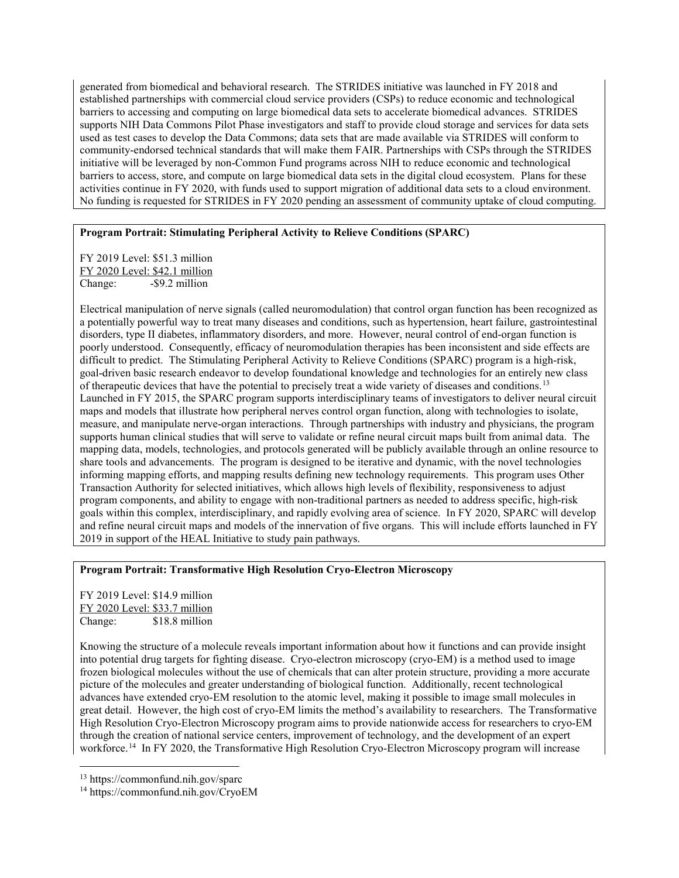generated from biomedical and behavioral research. The STRIDES initiative was launched in FY 2018 and established partnerships with commercial cloud service providers (CSPs) to reduce economic and technological barriers to accessing and computing on large biomedical data sets to accelerate biomedical advances. STRIDES supports NIH Data Commons Pilot Phase investigators and staff to provide cloud storage and services for data sets used as test cases to develop the Data Commons; data sets that are made available via STRIDES will conform to community-endorsed technical standards that will make them FAIR. Partnerships with CSPs through the STRIDES initiative will be leveraged by non-Common Fund programs across NIH to reduce economic and technological barriers to access, store, and compute on large biomedical data sets in the digital cloud ecosystem. Plans for these activities continue in FY 2020, with funds used to support migration of additional data sets to a cloud environment. No funding is requested for STRIDES in FY 2020 pending an assessment of community uptake of cloud computing.

#### **Program Portrait: Stimulating Peripheral Activity to Relieve Conditions (SPARC)**

FY 2019 Level: \$51.3 million FY 2020 Level: \$42.1 million Change: - \$9.2 million

Electrical manipulation of nerve signals (called neuromodulation) that control organ function has been recognized as a potentially powerful way to treat many diseases and conditions, such as hypertension, heart failure, gastrointestinal disorders, type II diabetes, inflammatory disorders, and more. However, neural control of end-organ function is poorly understood. Consequently, efficacy of neuromodulation therapies has been inconsistent and side effects are difficult to predict. The Stimulating Peripheral Activity to Relieve Conditions (SPARC) program is a high-risk, goal-driven basic research endeavor to develop foundational knowledge and technologies for an entirely new class of therapeutic devices that have the potential to precisely treat a wide variety of diseases and conditions.[13](#page-12-0)  Launched in FY 2015, the SPARC program supports interdisciplinary teams of investigators to deliver neural circuit maps and models that illustrate how peripheral nerves control organ function, along with technologies to isolate, measure, and manipulate nerve-organ interactions. Through partnerships with industry and physicians, the program supports human clinical studies that will serve to validate or refine neural circuit maps built from animal data. The mapping data, models, technologies, and protocols generated will be publicly available through an online resource to share tools and advancements. The program is designed to be iterative and dynamic, with the novel technologies informing mapping efforts, and mapping results defining new technology requirements. This program uses Other Transaction Authority for selected initiatives, which allows high levels of flexibility, responsiveness to adjust program components, and ability to engage with non-traditional partners as needed to address specific, high-risk goals within this complex, interdisciplinary, and rapidly evolving area of science. In FY 2020, SPARC will develop and refine neural circuit maps and models of the innervation of five organs. This will include efforts launched in FY 2019 in support of the HEAL Initiative to study pain pathways.

#### **Program Portrait: Transformative High Resolution Cryo-Electron Microscopy**

FY 2019 Level: \$14.9 million FY 2020 Level: \$33.7 million Change: \$18.8 million

Knowing the structure of a molecule reveals important information about how it functions and can provide insight into potential drug targets for fighting disease. Cryo-electron microscopy (cryo-EM) is a method used to image frozen biological molecules without the use of chemicals that can alter protein structure, providing a more accurate picture of the molecules and greater understanding of biological function. Additionally, recent technological advances have extended cryo-EM resolution to the atomic level, making it possible to image small molecules in great detail. However, the high cost of cryo-EM limits the method's availability to researchers. The Transformative High Resolution Cryo-Electron Microscopy program aims to provide nationwide access for researchers to cryo-EM through the creation of national service centers, improvement of technology, and the development of an expert workforce. [14](#page-12-1) In FY 2020, the Transformative High Resolution Cryo-Electron Microscopy program will increase

<span id="page-12-0"></span><sup>13</sup> https://commonfund.nih.gov/sparc

<span id="page-12-1"></span><sup>14</sup> https://commonfund.nih.gov/CryoEM